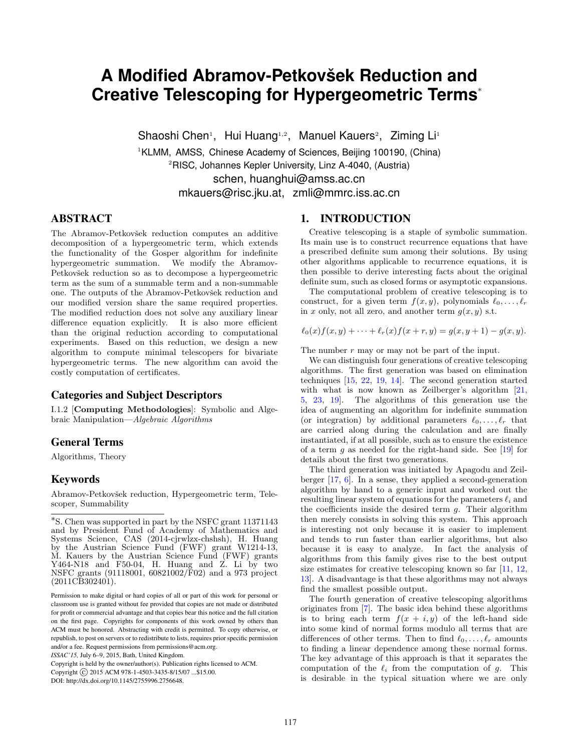# **A Modified Abramov-Petkovšek Reduction and Creative Telescoping for Hypergeometric Terms**<sup>∗</sup>

Shaoshi Chen<sup>1</sup>, Hui Huang<sup>1,2</sup>, Manuel Kauers<sup>2</sup>, Ziming Li<sup>1</sup>

<sup>1</sup>KLMM, AMSS, Chinese Academy of Sciences, Beijing 100190, (China) <sup>2</sup>RISC, Johannes Kepler University, Linz A-4040, (Austria)

schen, huanghui@amss.ac.cn

mkauers@risc.jku.at, zmli@mmrc.iss.ac.cn

# ABSTRACT

The Abramov-Petkovšek reduction computes an additive decomposition of a hypergeometric term, which extends the functionality of the Gosper algorithm for indefinite hypergeometric summation. We modify the Abramov-Petkovšek reduction so as to decompose a hypergeometric term as the sum of a summable term and a non-summable one. The outputs of the Abramov-Petkovšek reduction and our modified version share the same required properties. The modified reduction does not solve any auxiliary linear difference equation explicitly. It is also more efficient than the original reduction according to computational experiments. Based on this reduction, we design a new algorithm to compute minimal telescopers for bivariate hypergeometric terms. The new algorithm can avoid the costly computation of certificates.

# Categories and Subject Descriptors

I.1.2 [Computing Methodologies]: Symbolic and Algebraic Manipulation—Algebraic Algorithms

# General Terms

Algorithms, Theory

# Keywords

Abramov-Petkovšek reduction, Hypergeometric term, Telescoper, Summability

Copyright (C) 2015 ACM 978-1-4503-3435-8/15/07 ...\$15.00.

# 1. INTRODUCTION

Creative telescoping is a staple of symbolic summation. Its main use is to construct recurrence equations that have a prescribed definite sum among their solutions. By using other algorithms applicable to recurrence equations, it is then possible to derive interesting facts about the original definite sum, such as closed forms or asymptotic expansions.

The computational problem of creative telescoping is to construct, for a given term  $f(x, y)$ , polynomials  $\ell_0, \ldots, \ell_r$ in x only, not all zero, and another term  $q(x, y)$  s.t.

$$
\ell_0(x)f(x,y) + \cdots + \ell_r(x)f(x+r,y) = g(x,y+1) - g(x,y).
$$

The number  $r$  may or may not be part of the input.

We can distinguish four generations of creative telescoping algorithms. The first generation was based on elimination techniques [\[15,](#page-7-0) [22,](#page-7-1) [19,](#page-7-2) [14\]](#page-7-3). The second generation started with what is now known as Zeilberger's algorithm  $[21,$ [5,](#page-7-5) [23,](#page-7-6) [19\]](#page-7-2). The algorithms of this generation use the idea of augmenting an algorithm for indefinite summation (or integration) by additional parameters  $\ell_0, \ldots, \ell_r$  that are carried along during the calculation and are finally instantiated, if at all possible, such as to ensure the existence of a term  $g$  as needed for the right-hand side. See  $[19]$  for details about the first two generations.

The third generation was initiated by Apagodu and Zeilberger [\[17,](#page-7-7) [6\]](#page-7-8). In a sense, they applied a second-generation algorithm by hand to a generic input and worked out the resulting linear system of equations for the parameters  $\ell_i$  and the coefficients inside the desired term  $q$ . Their algorithm then merely consists in solving this system. This approach is interesting not only because it is easier to implement and tends to run faster than earlier algorithms, but also because it is easy to analyze. In fact the analysis of algorithms from this family gives rise to the best output size estimates for creative telescoping known so far [\[11,](#page-7-9) [12,](#page-7-10) [13\]](#page-7-11). A disadvantage is that these algorithms may not always find the smallest possible output.

The fourth generation of creative telescoping algorithms originates from [\[7\]](#page-7-12). The basic idea behind these algorithms is to bring each term  $f(x + i, y)$  of the left-hand side into some kind of normal forms modulo all terms that are differences of other terms. Then to find  $\ell_0, \ldots, \ell_r$  amounts to finding a linear dependence among these normal forms. The key advantage of this approach is that it separates the computation of the  $\ell_i$  from the computation of g. This is desirable in the typical situation where we are only

<sup>∗</sup> S. Chen was supported in part by the NSFC grant 11371143 and by President Fund of Academy of Mathematics and Systems Science, CAS (2014-cjrwlzx-chshsh), H. Huang by the Austrian Science Fund (FWF) grant W1214-13, M. Kauers by the Austrian Science Fund (FWF) grants Y464-N18 and F50-04, H. Huang and Z. Li by two NSFC grants (91118001, 60821002/F02) and a 973 project  $(2011C\bar{B}302401).$ 

Permission to make digital or hard copies of all or part of this work for personal or classroom use is granted without fee provided that copies are not made or distributed for profit or commercial advantage and that copies bear this notice and the full citation on the first page. Copyrights for components of this work owned by others than ACM must be honored. Abstracting with credit is permitted. To copy otherwise, or republish, to post on servers or to redistribute to lists, requires prior specific permission and/or a fee. Request permissions from permissions@acm.org.

*ISSAC'15,* July 6–9, 2015, Bath, United Kingdom.

Copyright is held by the owner/author(s). Publication rights licensed to ACM.

DOI: http://dx.doi.org/10.1145/2755996.2756648.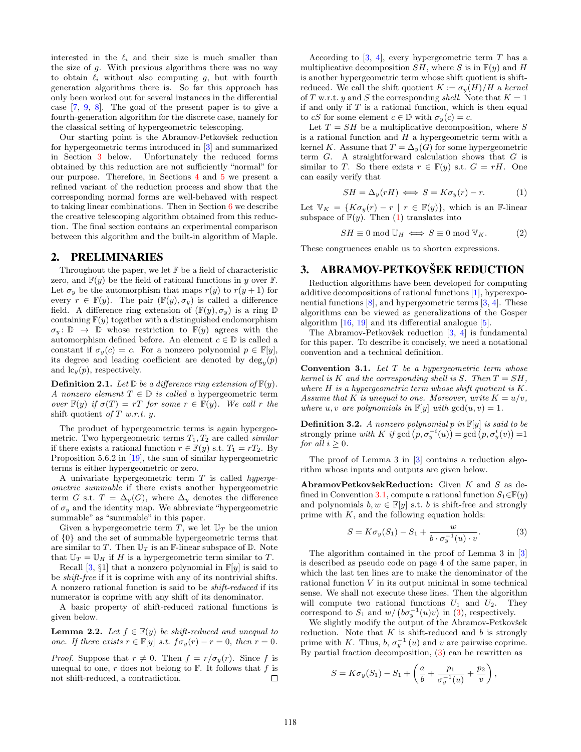interested in the  $\ell_i$  and their size is much smaller than the size of  $g$ . With previous algorithms there was no way to obtain  $\ell_i$  without also computing g, but with fourth generation algorithms there is. So far this approach has only been worked out for several instances in the differential case [\[7,](#page-7-12) [9,](#page-7-13) [8\]](#page-7-14). The goal of the present paper is to give a fourth-generation algorithm for the discrete case, namely for the classical setting of hypergeometric telescoping.

Our starting point is the Abramov-Petkovšek reduction for hypergeometric terms introduced in [\[3\]](#page-7-15) and summarized in Section [3](#page-1-0) below. Unfortunately the reduced forms obtained by this reduction are not sufficiently "normal" for our purpose. Therefore, in Sections [4](#page-2-0) and [5](#page-4-0) we present a refined variant of the reduction process and show that the corresponding normal forms are well-behaved with respect to taking linear combinations. Then in Section [6](#page-5-0) we describe the creative telescoping algorithm obtained from this reduction. The final section contains an experimental comparison between this algorithm and the built-in algorithm of Maple.

#### 2. PRELIMINARIES

Throughout the paper, we let  $F$  be a field of characteristic zero, and  $F(y)$  be the field of rational functions in y over  $F$ . Let  $\sigma_y$  be the automorphism that maps  $r(y)$  to  $r(y+1)$  for every  $r \in \mathbb{F}(y)$ . The pair  $(\mathbb{F}(y), \sigma_y)$  is called a difference field. A difference ring extension of  $(\mathbb{F}(y), \sigma_y)$  is a ring  $\mathbb D$ containing  $F(y)$  together with a distinguished endomorphism  $\sigma_y: \mathbb{D} \to \mathbb{D}$  whose restriction to  $\mathbb{F}(y)$  agrees with the automorphism defined before. An element  $c \in \mathbb{D}$  is called a constant if  $\sigma_y(c) = c$ . For a nonzero polynomial  $p \in \mathbb{F}[y]$ , its degree and leading coefficient are denoted by  $deg_y(p)$ and  $lc_y(p)$ , respectively.

**Definition 2.1.** Let  $\mathbb{D}$  be a difference ring extension of  $\mathbb{F}(y)$ . A nonzero element  $T \in \mathbb{D}$  is called a hypergeometric term over  $\mathbb{F}(y)$  if  $\sigma(T) = rT$  for some  $r \in \mathbb{F}(y)$ . We call r the shift quotient of  $T$  w.r.t.  $y$ .

The product of hypergeometric terms is again hypergeometric. Two hypergeometric terms  $T_1, T_2$  are called *similar* if there exists a rational function  $r \in \mathbb{F}(y)$  s.t.  $T_1 = rT_2$ . By Proposition 5.6.2 in [\[19\]](#page-7-2), the sum of similar hypergeometric terms is either hypergeometric or zero.

A univariate hypergeometric term  $T$  is called *hyperge*ometric summable if there exists another hypergeometric term G s.t.  $T = \Delta_y(G)$ , where  $\Delta_y$  denotes the difference of  $\sigma_u$  and the identity map. We abbreviate "hypergeometric" summable" as "summable" in this paper.

Given a hypergeometric term T, we let  $\mathbb{U}_T$  be the union of {0} and the set of summable hypergeometric terms that are similar to T. Then  $\mathbb{U}_T$  is an F-linear subspace of  $\mathbb{D}$ . Note that  $\mathbb{U}_T = \mathbb{U}_H$  if H is a hypergeometric term similar to T.

Recall [\[3,](#page-7-15) §1] that a nonzero polynomial in  $\mathbb{F}[y]$  is said to be shift-free if it is coprime with any of its nontrivial shifts. A nonzero rational function is said to be shift-reduced if its numerator is coprime with any shift of its denominator.

A basic property of shift-reduced rational functions is given below.

<span id="page-1-5"></span>**Lemma 2.2.** Let  $f \in \mathbb{F}(y)$  be shift-reduced and unequal to one. If there exists  $r \in \mathbb{F}[y]$  s.t.  $f\sigma_y(r) - r = 0$ , then  $r = 0$ .

*Proof.* Suppose that  $r \neq 0$ . Then  $f = r/\sigma_y(r)$ . Since f is unequal to one, r does not belong to  $\mathbb{F}$ . It follows that f is not shift-reduced, a contradiction.  $\Box$ 

According to  $[3, 4]$  $[3, 4]$ , every hypergeometric term T has a multiplicative decomposition  $SH$ , where S is in  $\mathbb{F}(y)$  and H is another hypergeometric term whose shift quotient is shiftreduced. We call the shift quotient  $K := \sigma_y(H)/H$  a kernel of T w.r.t. y and S the corresponding shell. Note that  $K = 1$ if and only if  $T$  is a rational function, which is then equal to cS for some element  $c \in \mathbb{D}$  with  $\sigma_y(c) = c$ .

Let  $T = SH$  be a multiplicative decomposition, where S is a rational function and  $H$  a hypergeometric term with a kernel K. Assume that  $T = \Delta_y(G)$  for some hypergeometric term  $G$ . A straightforward calculation shows that  $G$  is similar to T. So there exists  $r \in \mathbb{F}(y)$  s.t.  $G = rH$ . One can easily verify that

<span id="page-1-1"></span>
$$
SH = \Delta_y(rH) \iff S = K\sigma_y(r) - r. \tag{1}
$$

Let  $\mathbb{V}_K = \{K\sigma_y(r) - r \mid r \in \mathbb{F}(y)\}\text{, which is an }\mathbb{F}\text{-linear}$ subspace of  $F(y)$ . Then [\(1\)](#page-1-1) translates into

<span id="page-1-4"></span>
$$
SH \equiv 0 \mod \mathbb{U}_H \iff S \equiv 0 \mod \mathbb{V}_K. \tag{2}
$$

These congruences enable us to shorten expressions.

# <span id="page-1-0"></span>3. ABRAMOV-PETKOVŠEK REDUCTION

Reduction algorithms have been developed for computing additive decompositions of rational functions [\[1\]](#page-7-17), hyperexponential functions  $[8]$ , and hypergeometric terms  $[3, 4]$  $[3, 4]$ . These algorithms can be viewed as generalizations of the Gosper algorithm [\[16,](#page-7-18) [19\]](#page-7-2) and its differential analogue [\[5\]](#page-7-5).

The Abramov-Petkovšek reduction  $[3, 4]$  $[3, 4]$  is fundamental for this paper. To describe it concisely, we need a notational convention and a technical definition.

<span id="page-1-2"></span>**Convention 3.1.** Let  $T$  be a hypergeometric term whose kernel is K and the corresponding shell is S. Then  $T = SH$ , where  $H$  is a hypergeometric term whose shift quotient is  $K$ . Assume that K is unequal to one. Moreover, write  $K = u/v$ , where u, v are polynomials in  $\mathbb{F}[y]$  with  $gcd(u, v) = 1$ .

**Definition 3.2.** A nonzero polynomial p in  $\mathbb{F}[y]$  is said to be strongly prime with K if  $gcd(p, \sigma_y^{-i}(u)) = gcd(p, \sigma_y^{i}(v)) = 1$ for all  $i \geq 0$ .

The proof of Lemma 3 in [\[3\]](#page-7-15) contains a reduction algorithm whose inputs and outputs are given below.

AbramovPetkovšekReduction: Given  $K$  and  $S$  as de-fined in Convention [3.1,](#page-1-2) compute a rational function  $S_1 \in \mathbb{F}(y)$ and polynomials  $b, w \in \mathbb{F}[y]$  s.t. b is shift-free and strongly prime with  $K$ , and the following equation holds:

<span id="page-1-3"></span>
$$
S = K\sigma_y(S_1) - S_1 + \frac{w}{b \cdot \sigma_y^{-1}(u) \cdot v}.
$$
 (3)

The algorithm contained in the proof of Lemma 3 in [\[3\]](#page-7-15) is described as pseudo code on page 4 of the same paper, in which the last ten lines are to make the denominator of the rational function  $V$  in its output minimal in some technical sense. We shall not execute these lines. Then the algorithm will compute two rational functions  $U_1$  and  $U_2$ . They correspond to  $S_1$  and  $w/(b\sigma_y^{-1}(u)v)$  in [\(3\)](#page-1-3), respectively.

We slightly modify the output of the Abramov-Petkovšek reduction. Note that  $K$  is shift-reduced and  $b$  is strongly prime with K. Thus,  $b, \sigma_y^{-1}(u)$  and v are pairwise coprime. By partial fraction decomposition, [\(3\)](#page-1-3) can be rewritten as

$$
S = K\sigma_y(S_1) - S_1 + \left(\frac{a}{b} + \frac{p_1}{\sigma_y^{-1}(u)} + \frac{p_2}{v}\right),
$$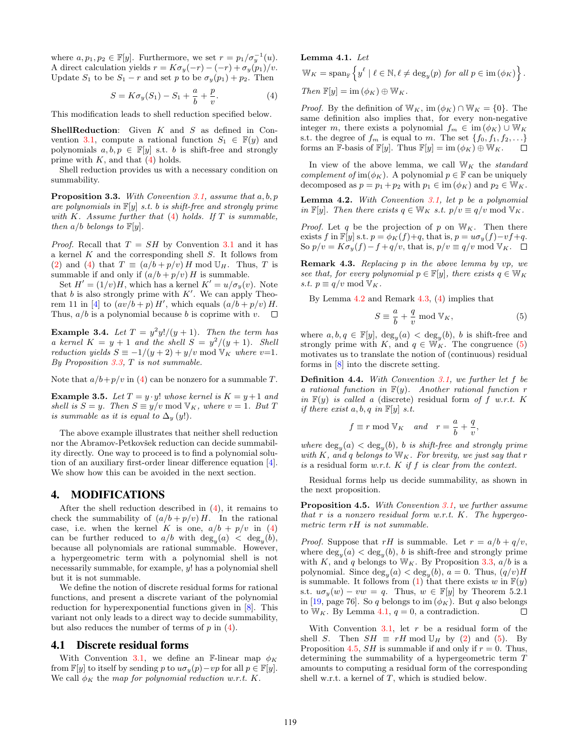where  $a, p_1, p_2 \in \mathbb{F}[y]$ . Furthermore, we set  $r = p_1/\sigma_y^{-1}(u)$ . A direct calculation yields  $r = K\sigma_y(-r) - (-r) + \sigma_y(p_1)/v$ . Update  $S_1$  to be  $S_1 - r$  and set p to be  $\sigma_y(p_1) + p_2$ . Then

<span id="page-2-1"></span>
$$
S = K\sigma_y(S_1) - S_1 + \frac{a}{b} + \frac{p}{v}.
$$
 (4)

This modification leads to shell reduction specified below.

**ShellReduction:** Given  $K$  and  $S$  as defined in Con-vention [3.1,](#page-1-2) compute a rational function  $S_1 \in \mathbb{F}(y)$  and polynomials  $a, b, p \in \mathbb{F}[y]$  s.t. b is shift-free and strongly prime with  $K$ , and that  $(4)$  holds.

Shell reduction provides us with a necessary condition on summability.

<span id="page-2-2"></span>**Proposition 3.3.** With Convention [3.1,](#page-1-2) assume that  $a, b, p$ are polynomials in  $\mathbb{F}[y]$  s.t. b is shift-free and strongly prime with K. Assume further that  $(4)$  holds. If T is summable, then  $a/b$  belongs to  $\mathbb{F}[y]$ .

*Proof.* Recall that  $T = SH$  by Convention [3.1](#page-1-2) and it has a kernel K and the corresponding shell S. It follows from [\(2\)](#page-1-4) and [\(4\)](#page-2-1) that  $T \equiv (a/b + p/v) H \text{ mod } U_H$ . Thus, T is summable if and only if  $(a/b + p/v)$  H is summable.

Set  $H' = (1/v)H$ , which has a kernel  $K' = u/\sigma_y(v)$ . Note that b is also strongly prime with  $K'$ . We can apply Theo-rem 11 in [\[4\]](#page-7-16) to  $(av/b + p) H'$ , which equals  $(a/b + p/v) H$ . Thus,  $a/b$  is a polynomial because b is coprime with v.  $\square$ 

<span id="page-2-8"></span>**Example 3.4.** Let  $T = y^2y!/(y+1)$ . Then the term has a kernel  $K = y + 1$  and the shell  $S = y^2/(y + 1)$ . Shell reduction yields  $S \equiv -1/(y+2) + y/v \mod V_K$  where v=1. By Proposition  $3.3$ , T is not summable.

Note that  $a/b+p/v$  in [\(4\)](#page-2-1) can be nonzero for a summable T.

<span id="page-2-9"></span>**Example 3.5.** Let  $T = y \cdot y!$  whose kernel is  $K = y + 1$  and shell is  $S = y$ . Then  $S \equiv y/v \mod V_K$ , where  $v = 1$ . But T is summable as it is equal to  $\Delta_y(y!)$ .

The above example illustrates that neither shell reduction nor the Abramov-Petkovšek reduction can decide summability directly. One way to proceed is to find a polynomial solution of an auxiliary first-order linear difference equation [\[4\]](#page-7-16). We show how this can be avoided in the next section.

#### <span id="page-2-0"></span>4. MODIFICATIONS

After the shell reduction described in  $(4)$ , it remains to check the summability of  $(a/b + p/v)H$ . In the rational case, i.e. when the kernel K is one,  $a/b + p/v$  in [\(4\)](#page-2-1) can be further reduced to  $a/b$  with  $\deg_y(a) < \deg_y(b)$ , because all polynomials are rational summable. However, a hypergeometric term with a polynomial shell is not necessarily summable, for example, y! has a polynomial shell but it is not summable.

We define the notion of discrete residual forms for rational functions, and present a discrete variant of the polynomial reduction for hyperexponential functions given in [\[8\]](#page-7-14). This variant not only leads to a direct way to decide summability, but also reduces the number of terms of  $p$  in  $(4)$ .

#### 4.1 Discrete residual forms

With Convention [3.1,](#page-1-2) we define an F-linear map  $\phi_K$ from  $\mathbb{F}[y]$  to itself by sending p to  $u\sigma_y(p)-vp$  for all  $p \in \mathbb{F}[y]$ . We call  $\phi_K$  the map for polynomial reduction w.r.t. K.

# <span id="page-2-6"></span>Lemma 4.1. Let  $\mathbb{W}_K = \text{span}_{\mathbb{F}} \left\{ y^\ell \mid \ell \in \mathbb{N}, \ell \neq \text{deg}_y(p) \text{ for all } p \in \text{im } (\phi_K) \right\}.$ Then  $\mathbb{F}[y] = \text{im}(\phi_K) \oplus \mathbb{W}_K$ .

*Proof.* By the definition of  $W_K$ , im  $(\phi_K) \cap W_K = \{0\}$ . The same definition also implies that, for every non-negative integer m, there exists a polynomial  $f_m \in \text{im}(\phi_K) \cup \mathbb{W}_K$ s.t. the degree of  $f_m$  is equal to m. The set  $\{f_0, f_1, f_2, \ldots\}$ forms an F-basis of F[y]. Thus  $\mathbb{F}[y] = \text{im } (\phi_K) \oplus \mathbb{W}_K$ .  $\Box$ 

In view of the above lemma, we call  $W_K$  the *standard* complement of im( $\phi_K$ ). A polynomial  $p \in \mathbb{F}$  can be uniquely decomposed as  $p = p_1 + p_2$  with  $p_1 \in \text{im}(\phi_K)$  and  $p_2 \in W_K$ .

<span id="page-2-3"></span>**Lemma 4.2.** With Convention  $3.1$ , let p be a polynomial in F[y]. Then there exists  $q \in W_K$  s.t.  $p/v \equiv q/v \mod V_K$ .

*Proof.* Let q be the projection of p on  $W_K$ . Then there exists f in  $\mathbb{F}[y]$  s.t.  $p = \phi_K(f) + q$ , that is,  $p = u\sigma_y(f) - vf + q$ . So  $p/v = K\sigma_y(f) - f + q/v$ , that is,  $p/v \equiv q/v \mod V_K$ .  $\Box$ 

<span id="page-2-4"></span>Remark 4.3. Replacing p in the above lemma by vp, we see that, for every polynomial  $p \in \mathbb{F}[y]$ , there exists  $q \in \mathbb{W}_K$ s.t.  $p \equiv q/v \mod V_K$ .

By Lemma [4.2](#page-2-3) and Remark [4.3,](#page-2-4) [\(4\)](#page-2-1) implies that

<span id="page-2-5"></span>
$$
S \equiv \frac{a}{b} + \frac{q}{v} \mod \mathbb{V}_K,\tag{5}
$$

where  $a, b, q \in \mathbb{F}[y], \deg_y(a) < \deg_y(b), b$  is shift-free and strongly prime with K, and  $q \in \mathbb{W}_K^{\mathcal{I}}$ . The congruence [\(5\)](#page-2-5) motivates us to translate the notion of (continuous) residual forms in [\[8\]](#page-7-14) into the discrete setting.

**Definition 4.4.** With Convention  $3.1$ , we further let  $f$  be a rational function in  $F(y)$ . Another rational function r in  $F(y)$  is called a (discrete) residual form of f w.r.t. K if there exist  $a, b, q$  in  $\mathbb{F}[y]$  s.t.

$$
f \equiv r \mod \mathbb{V}_K
$$
 and  $r = \frac{a}{b} + \frac{q}{v}$ ,

where  $\deg_y(a) < \deg_y(b)$ , b is shift-free and strongly prime with K, and q belongs to  $W_K$ . For brevity, we just say that r is a residual form  $w.r.t.$  K if f is clear from the context.

Residual forms help us decide summability, as shown in the next proposition.

<span id="page-2-7"></span>Proposition 4.5. With Convention [3.1,](#page-1-2) we further assume that  $r$  is a nonzero residual form w.r.t.  $K$ . The hypergeometric term rH is not summable.

*Proof.* Suppose that rH is summable. Let  $r = a/b + q/v$ , where  $\deg_y(a) < \deg_y(b)$ , b is shift-free and strongly prime with K, and q belongs to  $W_K$ . By Proposition [3.3,](#page-2-2)  $a/b$  is a polynomial. Since  $\deg_y(a) < \deg_y(b)$ ,  $a = 0$ . Thus,  $(q/v)H$ is summable. It follows from [\(1\)](#page-1-1) that there exists w in  $F(y)$ s.t.  $u\sigma_y(w) - vw = q$ . Thus,  $w \in \mathbb{F}[y]$  by Theorem 5.2.1 in [\[19,](#page-7-2) page 76]. So q belongs to im  $(\phi_K)$ . But q also belongs to  $W_K$ . By Lemma [4.1,](#page-2-6)  $q = 0$ , a contradiction.  $\Box$ 

With Convention [3.1,](#page-1-2) let  $r$  be a residual form of the shell S. Then  $SH \equiv rH \mod \mathbb{U}_H$  by [\(2\)](#page-1-4) and [\(5\)](#page-2-5). By Proposition [4.5,](#page-2-7) SH is summable if and only if  $r = 0$ . Thus, determining the summability of a hypergeometric term T amounts to computing a residual form of the corresponding shell w.r.t. a kernel of  $T$ , which is studied below.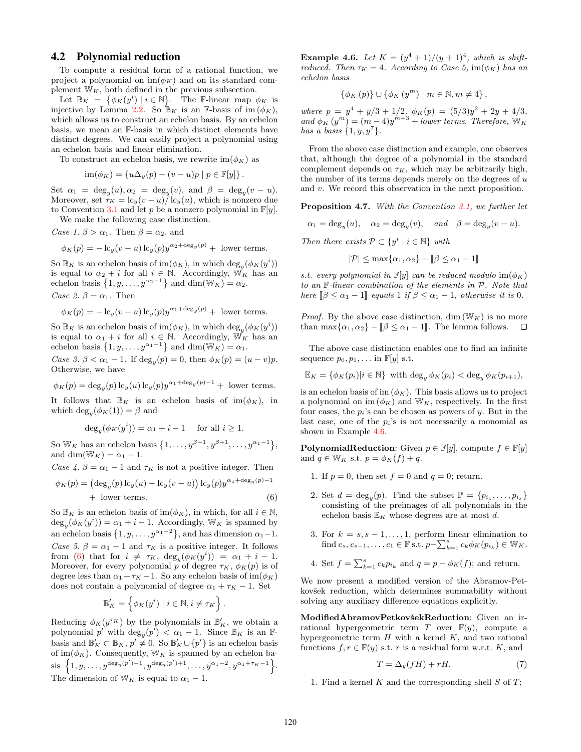#### 4.2 Polynomial reduction

To compute a residual form of a rational function, we project a polynomial on  $\text{im}(\phi_K)$  and on its standard complement  $W_K$ , both defined in the previous subsection.

Let  $\mathbb{B}_K = {\phi_K(y^i) | i \in \mathbb{N}}$ . The F-linear map  $\phi_K$  is injective by Lemma [2.2.](#page-1-5) So  $\mathbb{B}_K$  is an F-basis of im  $(\phi_K)$ , which allows us to construct an echelon basis. By an echelon basis, we mean an F-basis in which distinct elements have distinct degrees. We can easily project a polynomial using an echelon basis and linear elimination.

To construct an echelon basis, we rewrite  $\text{im}(\phi_K)$  as

$$
\operatorname{im}(\phi_K) = \{ u\Delta_y(p) - (v - u)p \mid p \in \mathbb{F}[y] \}.
$$

Set  $\alpha_1 = \deg_y(u), \alpha_2 = \deg_y(v), \text{ and } \beta = \deg_y(v-u).$ Moreover, set  $\tau_K = \frac{\csc(u - u)}{\csc(u)} \cdot \csc(u)$ , which is nonzero due to Convention [3.1](#page-1-2) and let p be a nonzero polynomial in  $\mathbb{F}[y]$ .

We make the following case distinction.

Case 1.  $\beta > \alpha_1$ . Then  $\beta = \alpha_2$ , and

$$
\phi_K(p) = -\log(v - u)\log(p)y^{\alpha_2 + \deg_y(p)} + \text{ lower terms.}
$$

So  $\mathbb{B}_K$  is an echelon basis of  $\text{im}(\phi_K)$ , in which  $\text{deg}_y(\phi_K(y^i))$ is equal to  $\alpha_2 + i$  for all  $i \in \mathbb{N}$ . Accordingly,  $\mathbb{W}_K$  has an echelon basis  $\{1, y, \ldots, y^{\alpha_2 - 1}\}\$ and dim $(\mathbb{W}_K) = \alpha_2$ . Case 2.  $\beta = \alpha_1$ . Then

$$
\phi_K(p) = -\operatorname{lc}_y(v-u)\operatorname{lc}_y(p)y^{\alpha_1+\deg_y(p)} + \text{ lower terms}.
$$

So  $\mathbb{B}_K$  is an echelon basis of  $\text{im}(\phi_K)$ , in which  $\text{deg}_y(\phi_K(y^i))$ is equal to  $\alpha_1 + i$  for all  $i \in \mathbb{N}$ . Accordingly,  $\mathbb{W}_K$  has an echelon basis  $\{1, y, \ldots, y^{\alpha_1 - 1}\}\$ and dim(W<sub>K</sub>) =  $\alpha_1$ .

Case 3.  $\beta < \alpha_1 - 1$ . If  $\deg_y(p) = 0$ , then  $\phi_K(p) = (u - v)p$ . Otherwise, we have

$$
\phi_K(p) = \deg_y(p) \log_y(u) \log_y(p) y^{\alpha_1 + \deg_y(p) - 1} + \text{ lower terms.}
$$

It follows that  $\mathbb{B}_K$  is an echelon basis of  $\text{im}(\phi_K)$ , in which  $\deg_y(\phi_K(1)) = \beta$  and

$$
\deg_y(\phi_K(y^i)) = \alpha_1 + i - 1 \quad \text{ for all } i \ge 1.
$$

So W<sub>K</sub> has an echelon basis  $\{1,\ldots,y^{\beta-1},y^{\beta+1},\ldots,y^{\alpha_1-1}\},\$ and dim( $\mathbb{W}_K$ ) =  $\alpha_1$  – 1.

Case 4.  $\beta = \alpha_1 - 1$  and  $\tau_K$  is not a positive integer. Then

$$
\phi_K(p) = (\deg_y(p) \operatorname{lc}_y(u) - \operatorname{lc}_y(v-u)) \operatorname{lc}_y(p) y^{\alpha_1 + \deg_y(p)-1}
$$
  
+ lower terms. (6)

So  $\mathbb{B}_K$  is an echelon basis of im( $\phi_K$ ), in which, for all  $i \in \mathbb{N}$ ,  $\deg_y(\phi_K(y^i)) = \alpha_1 + i - 1$ . Accordingly,  $W_K$  is spanned by an echelon basis  $\{1, y, \ldots, y^{\alpha_1 - 2}\}\$ , and has dimension  $\alpha_1 - 1$ . Case 5.  $\beta = \alpha_1 - 1$  and  $\tau_K$  is a positive integer. It follows from [\(6\)](#page-3-0) that for  $i \neq \tau_K$ ,  $deg_y(\phi_K(y^i)) = \alpha_1 + i - 1$ . Moreover, for every polynomial p of degree  $\tau_K$ ,  $\phi_K(p)$  is of degree less than  $\alpha_1 + \tau_K - 1$ . So any echelon basis of  $\text{im}(\phi_K)$ does not contain a polynomial of degree  $\alpha_1 + \tau_K - 1$ . Set

$$
\mathbb{B}'_K = \left\{ \phi_K(y^i) \mid i \in \mathbb{N}, i \neq \tau_K \right\}.
$$

Reducing  $\phi_K(y^{\tau_K})$  by the polynomials in  $\mathbb{B}'_K$ , we obtain a polynomial p' with  $\deg_y(p') < \alpha_1 - 1$ . Since  $\mathbb{B}_K$  is an Fbasis and  $\mathbb{B}'_K \subset \mathbb{B}_K$ ,  $p' \neq 0$ . So  $\mathbb{B}'_K \cup \{p'\}$  is an echelon basis of im( $\phi_K$ ). Consequently, W<sub>K</sub> is spanned by an echelon basis  $\{1, y, \ldots, y^{\deg_y(p')-1}, y^{\deg_y(p')+1}, \ldots, y^{\alpha_1-2}, y^{\alpha_1+\tau_K-1}\}.$ The dimension of  $W_K$  is equal to  $\alpha_1 - 1$ .

<span id="page-3-1"></span>**Example 4.6.** Let  $K = (y^4 + 1)/(y + 1)^4$ , which is shiftreduced. Then  $\tau_K = 4$ . According to Case 5, im( $\phi_K$ ) has an echelon basis

$$
\{\phi_K(p)\} \cup \{\phi_K(y^m) \mid m \in \mathbb{N}, m \neq 4\},\
$$

where  $p = y^4 + y/3 + 1/2$ ,  $\phi_K(p) = (5/3)y^2 + 2y + 4/3$ , and  $\phi_K(y^m) = (m-4)y^{m+3} + lower terms$ . Therefore,  $W_K$ has a basis  $\{1, y, y^7\}.$ 

From the above case distinction and example, one observes that, although the degree of a polynomial in the standard complement depends on  $\tau_K$ , which may be arbitrarily high, the number of its terms depends merely on the degrees of  $u$ and v. We record this observation in the next proposition.

Proposition 4.7. With the Convention [3.1,](#page-1-2) we further let

 $\alpha_1 = \deg_y(u)$ ,  $\alpha_2 = \deg_y(v)$ , and  $\beta = \deg_y(v - u)$ .

Then there exists  $\mathcal{P} \subset \{y^i \mid i \in \mathbb{N}\}\$  with

$$
|\mathcal{P}| \le \max\{\alpha_1, \alpha_2\} - [\![\beta \le \alpha_1 - 1]\!]
$$

s.t. every polynomial in  $\mathbb{F}[y]$  can be reduced modulo  $\text{im}(\phi_K)$ to an F-linear combination of the elements in P. Note that here  $\left[\beta \leq \alpha_1 - 1\right]$  equals 1 if  $\beta \leq \alpha_1 - 1$ , otherwise it is 0.

*Proof.* By the above case distinction, dim  $(\mathbb{W}_K)$  is no more than  $\max{\{\alpha_1, \alpha_2\}} - [\![\beta \leq \alpha_1 - 1]\!]$ . The lemma follows.  $\square$ 

The above case distinction enables one to find an infinite sequence  $p_0, p_1, \ldots$  in  $\mathbb{F}[y]$  s.t.

 $\mathbb{E}_K = {\phi_K(p_i)|i \in \mathbb{N}}$  with  $\deg_y \phi_K(p_i) < \deg_y \phi_K(p_{i+1}),$ 

is an echelon basis of im  $(\phi_K)$ . This basis allows us to project a polynomial on im  $(\phi_K)$  and  $\mathbb{W}_K,$  respectively. In the first four cases, the  $p_i$ 's can be chosen as powers of y. But in the last case, one of the  $p_i$ 's is not necessarily a monomial as shown in Example [4.6.](#page-3-1)

**PolynomialReduction:** Given  $p \in \mathbb{F}[y]$ , compute  $f \in \mathbb{F}[y]$ and  $q \in \mathbb{W}_K$  s.t.  $p = \phi_K(f) + q$ .

- 1. If  $p = 0$ , then set  $f = 0$  and  $q = 0$ ; return.
- <span id="page-3-0"></span>2. Set  $d = \deg_y(p)$ . Find the subset  $\mathbb{P} = \{p_{i_1}, \ldots, p_{i_s}\}\$ consisting of the preimages of all polynomials in the echelon basis  $\mathbb{E}_K$  whose degrees are at most  $d.$
- 3. For  $k = s, s 1, \ldots, 1$ , perform linear elimination to find  $c_s, c_{s-1}, \ldots, c_1 \in \mathbb{F}$  s.t.  $p-\sum_{k=1}^s c_k \phi_K(p_{i_k}) \in \mathbb{W}_K$ .

4. Set 
$$
f = \sum_{k=1}^{s} c_k p_{i_k}
$$
 and  $q = p - \phi_K(f)$ ; and return.

We now present a modified version of the Abramov-Petkovšek reduction, which determines summability without solving any auxiliary difference equations explicitly.

ModifiedAbramovPetkovšekReduction: Given an irrational hypergeometric term  $T$  over  $\mathbb{F}(y)$ , compute a hypergeometric term  $H$  with a kernel  $K$ , and two rational functions  $f, r \in \mathbb{F}(y)$  s.t. r is a residual form w.r.t. K, and

<span id="page-3-2"></span>
$$
T = \Delta_y (fH) + rH. \tag{7}
$$

1. Find a kernel K and the corresponding shell S of  $T$ ;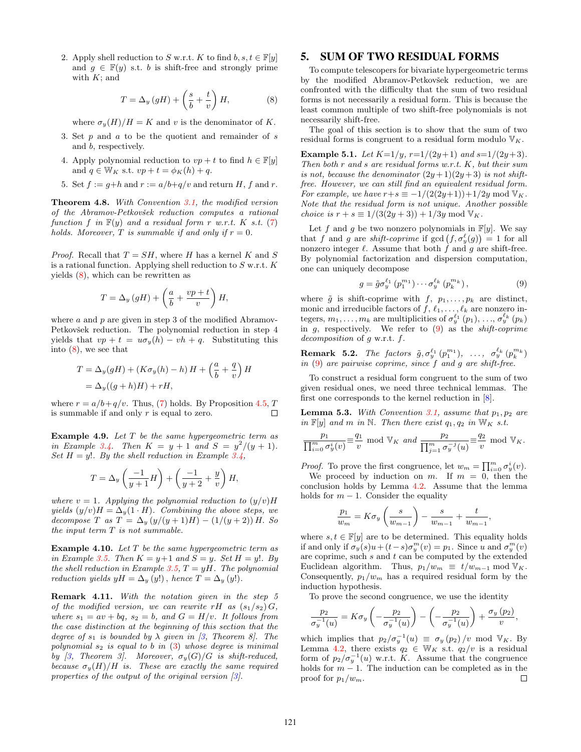2. Apply shell reduction to S w.r.t. K to find  $b, s, t \in \mathbb{F}[y]$ and  $q \in \mathbb{F}(y)$  s.t. b is shift-free and strongly prime with  $K$ ; and

<span id="page-4-1"></span>
$$
T = \Delta_y \left( gH \right) + \left( \frac{s}{b} + \frac{t}{v} \right) H,\tag{8}
$$

where  $\sigma_y(H)/H = K$  and v is the denominator of K.

- 3. Set  $p$  and  $a$  to be the quotient and remainder of  $s$ and b, respectively.
- 4. Apply polynomial reduction to  $vp + t$  to find  $h \in \mathbb{F}[y]$ and  $q \in W_K$  s.t.  $vp + t = \phi_K(h) + q$ .
- 5. Set  $f := q+h$  and  $r := a/b+q/v$  and return H, f and r.

<span id="page-4-5"></span>Theorem 4.8. With Convention [3.1,](#page-1-2) the modified version of the Abramov-Petkovšek reduction computes a rational function f in  $F(y)$  and a residual form r w.r.t. K s.t. [\(7\)](#page-3-2) holds. Moreover, T is summable if and only if  $r = 0$ .

*Proof.* Recall that  $T = SH$ , where H has a kernel K and S is a rational function. Applying shell reduction to  $S$  w.r.t.  $K$ yields [\(8\)](#page-4-1), which can be rewritten as

$$
T = \Delta_y \left( gH \right) + \left( \frac{a}{b} + \frac{vp + t}{v} \right) H,
$$

where  $a$  and  $p$  are given in step 3 of the modified Abramov-Petkovšek reduction. The polynomial reduction in step 4 yields that  $vp + t = u\sigma_y(h) - vh + q$ . Substituting this into [\(8\)](#page-4-1), we see that

$$
T = \Delta_y(gH) + (K\sigma_y(h) - h)H + \left(\frac{a}{b} + \frac{q}{v}\right)H
$$
  
=  $\Delta_y((g+h)H) + rH$ ,

where  $r = a/b + q/v$ . Thus, [\(7\)](#page-3-2) holds. By Proposition [4.5,](#page-2-7) T is summable if and only  $r$  is equal to zero.  $\Box$ 

**Example 4.9.** Let  $T$  be the same hypergeometric term as in Example [3.4.](#page-2-8) Then  $K = y + 1$  and  $S = y^2/(y + 1)$ . Set  $H = y!$ . By the shell reduction in Example [3.4,](#page-2-8)

$$
T = \Delta_y \left( \frac{-1}{y+1} H \right) + \left( \frac{-1}{y+2} + \frac{y}{v} \right) H,
$$

where  $v = 1$ . Applying the polynomial reduction to  $(y/v)H$ yields  $(y/v)H = \Delta_y(1 \cdot H)$ . Combining the above steps, we decompose T as  $T = \Delta_y (y/(y+1)H) - (1/(y+2))H$ . So the input term T is not summable.

**Example 4.10.** Let  $T$  be the same hypergeometric term as in Example [3.5.](#page-2-9) Then  $K = y+1$  and  $S = y$ . Set  $H = y!$ . By the shell reduction in Example [3.5,](#page-2-9)  $T = yH$ . The polynomial reduction yields  $yH = \Delta_y(y!)$ , hence  $T = \Delta_y(y!)$ .

Remark 4.11. With the notation given in the step 5 of the modified version, we can rewrite rH as  $(s_1/s_2)$  G, where  $s_1 = av + bq$ ,  $s_2 = b$ , and  $G = H/v$ . It follows from the case distinction at the beginning of this section that the degree of  $s_1$  is bounded by  $\lambda$  given in [\[3,](#page-7-15) Theorem 8]. The polynomial  $s_2$  is equal to b in  $(3)$  whose degree is minimal by [\[3,](#page-7-15) Theorem 3]. Moreover,  $\sigma_y(G)/G$  is shift-reduced, because  $\sigma_y(H)/H$  is. These are exactly the same required properties of the output of the original version [\[3\]](#page-7-15).

## <span id="page-4-0"></span>5. SUM OF TWO RESIDUAL FORMS

To compute telescopers for bivariate hypergeometric terms by the modified Abramov-Petkovšek reduction, we are confronted with the difficulty that the sum of two residual forms is not necessarily a residual form. This is because the least common multiple of two shift-free polynomials is not necessarily shift-free.

The goal of this section is to show that the sum of two residual forms is congruent to a residual form modulo  $\mathbb{V}_K$ .

**Example 5.1.** Let  $K=1/y$ ,  $r=1/(2y+1)$  and  $s=1/(2y+3)$ . Then both  $r$  and  $s$  are residual forms  $w.r.t.$   $K$ , but their sum is not, because the denominator  $(2y+1)(2y+3)$  is not shiftfree. However, we can still find an equivalent residual form. For example, we have  $r+s \equiv -1/(2(2y+1))+1/2y \mod V_K$ . Note that the residual form is not unique. Another possible *choice is*  $r + s \equiv 1/(3(2y + 3)) + 1/3y \mod ∇<sub>K</sub>$ .

Let f and g be two nonzero polynomials in  $\mathbb{F}[y]$ . We say that f and g are shift-coprime if  $gcd(f, \sigma_y^{\ell}(g)) = 1$  for all nonzero integer  $\ell$ . Assume that both f and g are shift-free. By polynomial factorization and dispersion computation, one can uniquely decompose

<span id="page-4-2"></span>
$$
g = \tilde{g}\sigma_y^{\ell_1} (p_1^{m_1}) \cdots \sigma_y^{\ell_k} (p_k^{m_k}), \qquad (9)
$$

where  $\tilde{g}$  is shift-coprime with  $f, p_1, \ldots, p_k$  are distinct, monic and irreducible factors of  $f, \ell_1, \ldots, \ell_k$  are nonzero integers,  $m_1, \ldots, m_k$  are multiplicities of  $\sigma_y^{\ell_1}(p_1), \ldots, \sigma_y^{\ell_k}(p_k)$ in  $g$ , respectively. We refer to  $(9)$  as the *shift-coprime* decomposition of g w.r.t. f.

<span id="page-4-4"></span>**Remark 5.2.** The factors  $\tilde{g}, \sigma_y^{\ell_1} (p_1^{m_1}), \ldots, \sigma_y^{\ell_k} (p_k^{m_k})$ in [\(9\)](#page-4-2) are pairwise coprime, since f and g are shift-free.

To construct a residual form congruent to the sum of two given residual ones, we need three technical lemmas. The first one corresponds to the kernel reduction in [\[8\]](#page-7-14).

<span id="page-4-3"></span>**Lemma 5.3.** With Convention [3.1,](#page-1-2) assume that  $p_1, p_2$  are in  $\mathbb{F}[y]$  and m in N. Then there exist  $q_1, q_2$  in  $\mathbb{W}_K$  s.t.

$$
\frac{p_1}{\prod_{i=0}^m\sigma_y^i(v)}\overline{\equiv}\frac{q_1}{v}\ \ \text{mod}\ \ \mathbb{V}_K\ \ and\ \frac{p_2}{\prod_{j=1}^m\sigma_y^{-j}(u)}\overline{\equiv}\frac{q_2}{v}\ \ \text{mod}\ \ \mathbb{V}_K.
$$

*Proof.* To prove the first congruence, let  $w_m = \prod_{i=0}^m \sigma_y^i(v)$ .

We proceed by induction on m. If  $m = 0$ , then the conclusion holds by Lemma [4.2.](#page-2-3) Assume that the lemma holds for  $m - 1$ . Consider the equality

$$
\frac{p_1}{w_m} = K \sigma_y \left( \frac{s}{w_{m-1}} \right) - \frac{s}{w_{m-1}} + \frac{t}{w_{m-1}},
$$

where  $s, t \in \mathbb{F}[y]$  are to be determined. This equality holds if and only if  $\sigma_y(s)u + (t-s)\sigma_y^m(v) = p_1$ . Since u and  $\sigma_y^m(v)$ are coprime, such  $s$  and  $t$  can be computed by the extended Euclidean algorithm. Thus,  $p_1/w_m \equiv t/w_{m-1} \mod \mathbb{V}_K$ . Consequently,  $p_1/w_m$  has a required residual form by the induction hypothesis.

To prove the second congruence, we use the identity

$$
\frac{p_2}{\sigma_y^{-1}(u)} = K\sigma_y\left(-\frac{p_2}{\sigma_y^{-1}(u)}\right) - \left(-\frac{p_2}{\sigma_y^{-1}(u)}\right) + \frac{\sigma_y\left(p_2\right)}{v},
$$

which implies that  $p_2/\sigma_y^{-1}(u) \equiv \sigma_y(p_2)/v \mod \mathbb{V}_K$ . By Lemma [4.2,](#page-2-3) there exists  $q_2 \in W_K$  s.t.  $q_2/v$  is a residual form of  $p_2/\sigma_y^{-1}(u)$  w.r.t. K. Assume that the congruence holds for  $m-1$ . The induction can be completed as in the proof for  $p_1/w_m$ .  $\Box$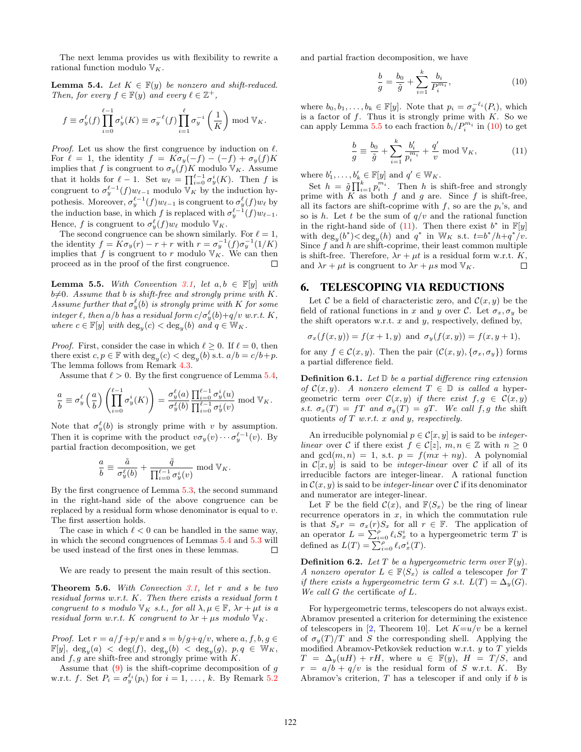The next lemma provides us with flexibility to rewrite a rational function modulo  $V_K$ .

<span id="page-5-1"></span>**Lemma 5.4.** Let  $K \in \mathbb{F}(y)$  be nonzero and shift-reduced. Then, for every  $f \in \mathbb{F}(y)$  and every  $\ell \in \mathbb{Z}^+$ ,

$$
f \equiv \sigma_y^{\ell}(f) \prod_{i=0}^{\ell-1} \sigma_y^i(K) \equiv \sigma_y^{-\ell}(f) \prod_{i=1}^{\ell} \sigma_y^{-i} \left(\frac{1}{K}\right) \bmod \mathbb{V}_K.
$$

*Proof.* Let us show the first congruence by induction on  $\ell$ . For  $\ell = 1$ , the identity  $f = K\sigma_y(-f) - (-f) + \sigma_y(f)K$ implies that f is congruent to  $\sigma_y(f)K$  modulo  $\mathbb{V}_K$ . Assume that it holds for  $\ell - 1$ . Set  $w_{\ell} = \prod_{i=0}^{\ell-1} \sigma_y^i(K)$ . Then f is congruent to  $\sigma_y^{\ell-1}(f)w_{\ell-1}$  modulo  $\mathbb{V}_K$  by the induction hypothesis. Moreover,  $\sigma_y^{\ell-1}(f)w_{\ell-1}$  is congruent to  $\sigma_y^{\ell}(f)w_{\ell}$  by the induction base, in which f is replaced with  $\sigma_y^{\ell-1}(f)w_{\ell-1}$ . Hence, f is congruent to  $\sigma_y^{\ell}(f)w_{\ell}$  modulo  $\mathbb{V}_K$ .

The second congruence can be shown similarly. For  $\ell = 1$ , the identity  $f = \overline{K} \sigma_y(r) - r + r$  with  $r = \sigma_y^{-1}(f) \sigma_y^{-1}(1/K)$ implies that f is congruent to r modulo  $\mathbb{V}_K$ . We can then proceed as in the proof of the first congruence.  $\Box$ 

<span id="page-5-2"></span>**Lemma 5.5.** With Convention [3.1,](#page-1-2) let  $a, b \in \mathbb{F}[y]$  with  $b\neq0$ . Assume that b is shift-free and strongly prime with K. Assume further that  $\sigma_y^{\ell}(b)$  is strongly prime with K for some integer  $\ell$ , then a/b has a residual form  $c/\sigma_y^{\ell}(b)+q/v$  w.r.t.  $K$ , where  $c \in \mathbb{F}[y]$  with  $\deg_y(c) < \deg_y(b)$  and  $q \in \mathbb{W}_K$ .

*Proof.* First, consider the case in which  $\ell \geq 0$ . If  $\ell = 0$ , then there exist  $c, p \in \mathbb{F}$  with  $\deg_y(c) < \deg_y(b)$  s.t.  $a/b = c/b + p$ . The lemma follows from Remark [4.3.](#page-2-4)

Assume that  $\ell > 0$ . By the first congruence of Lemma [5.4,](#page-5-1)

$$
\frac{a}{b} \equiv \sigma_y^{\ell} \left( \frac{a}{b} \right) \left( \prod_{i=0}^{\ell-1} \sigma_y^{i}(K) \right) = \frac{\sigma_y^{\ell}(a)}{\sigma_y^{\ell}(b)} \frac{\prod_{i=0}^{\ell-1} \sigma_y^{i}(u)}{\prod_{i=0}^{\ell-1} \sigma_y^{i}(v)} \bmod \mathbb{V}_K.
$$

Note that  $\sigma_y^{\ell}(b)$  is strongly prime with v by assumption. Then it is coprime with the product  $v\sigma_y(v) \cdots \sigma_y^{\ell-1}(v)$ . By partial fraction decomposition, we get

$$
\frac{a}{b} \equiv \frac{\tilde{a}}{\sigma_y^{\ell}(b)} + \frac{\tilde{q}}{\prod_{i=0}^{\ell-1} \sigma_y^i(v)} \bmod \mathbb{V}_K.
$$

By the first congruence of Lemma [5.3,](#page-4-3) the second summand in the right-hand side of the above congruence can be replaced by a residual form whose denominator is equal to v. The first assertion holds.

The case in which  $\ell < 0$  can be handled in the same way, in which the second congruences of Lemmas [5.4](#page-5-1) and [5.3](#page-4-3) will be used instead of the first ones in these lemmas.  $\Box$ 

We are ready to present the main result of this section.

<span id="page-5-5"></span>**Theorem 5.6.** With Convection  $3.1$ , let r and s be two residual forms w.r.t. K. Then there exists a residual form t congruent to s modulo  $\mathbb{V}_K$  s.t., for all  $\lambda, \mu \in \mathbb{F}$ ,  $\lambda r + \mu t$  is a residual form w.r.t. K congruent to  $\lambda r + \mu s$  modulo  $\mathbb{V}_K$ .

*Proof.* Let  $r = a/f + p/v$  and  $s = b/g + q/v$ , where  $a, f, b, g \in$  $\mathbb{F}[y], \deg_y(a) < \deg(f), \deg_y(b) < \deg_y(g), \ p, q \in \mathbb{W}_K,$ and  $f, g$  are shift-free and strongly prime with  $K$ .

Assume that  $(9)$  is the shift-coprime decomposition of g w.r.t. f. Set  $P_i = \sigma_y^{\ell_i}(p_i)$  for  $i = 1, \ldots, k$ . By Remark [5.2](#page-4-4)

and partial fraction decomposition, we have

<span id="page-5-3"></span>
$$
\frac{b}{g} = \frac{b_0}{\tilde{g}} + \sum_{i=1}^{k} \frac{b_i}{P_i^{m_i}},
$$
\n(10)

where  $b_0, b_1, \ldots, b_k \in \mathbb{F}[y]$ . Note that  $p_i = \sigma_y^{-\ell_i}(P_i)$ , which is a factor of  $f$ . Thus it is strongly prime with  $K$ . So we can apply Lemma [5.5](#page-5-2) to each fraction  $b_i/P_i^{m_i}$  in [\(10\)](#page-5-3) to get

<span id="page-5-4"></span>
$$
\frac{b}{g} \equiv \frac{b_0}{\tilde{g}} + \sum_{i=1}^{k} \frac{b_i'}{p_i^{m_i}} + \frac{q'}{v} \mod \mathbb{V}_K, \tag{11}
$$

where  $b'_1, \ldots, b'_k \in \mathbb{F}[y]$  and  $q' \in \mathbb{W}_K$ .

Set  $h = \tilde{g} \prod_{i=1}^{k} p_i^{m_i}$ . Then h is shift-free and strongly prime with  $K$  as both  $f$  and  $g$  are. Since  $f$  is shift-free, all its factors are shift-coprime with  $f$ , so are the  $p_i$ 's, and so is h. Let t be the sum of  $q/v$  and the rational function in the right-hand side of  $(11)$ . Then there exist  $b^*$  in  $\mathbb{F}[y]$ with  $\deg_y(b^*) < \deg_y(h)$  and  $q^*$  in  $W_K$  s.t.  $t=b^*/h+q^*/v$ . Since  $f$  and  $h$  are shift-coprime, their least common multiple is shift-free. Therefore,  $\lambda r + \mu t$  is a residual form w.r.t. K, and  $\lambda r + \mu t$  is congruent to  $\lambda r + \mu s$  mod  $V_K$ .  $\Box$ 

#### <span id="page-5-0"></span>6. TELESCOPING VIA REDUCTIONS

Let C be a field of characteristic zero, and  $\mathcal{C}(x, y)$  be the field of rational functions in x and y over C. Let  $\sigma_x, \sigma_y$  be the shift operators w.r.t.  $x$  and  $y$ , respectively, defined by,

$$
\sigma_x(f(x,y)) = f(x+1,y) \text{ and } \sigma_y(f(x,y)) = f(x,y+1),
$$

for any  $f \in \mathcal{C}(x, y)$ . Then the pair  $(\mathcal{C}(x, y), {\sigma_x, \sigma_y})$  forms a partial difference field.

**Definition 6.1.** Let  $\mathbb{D}$  be a partial difference ring extension of  $\mathcal{C}(x, y)$ . A nonzero element  $T \in \mathbb{D}$  is called a hypergeometric term over  $\mathcal{C}(x, y)$  if there exist  $f, g \in \mathcal{C}(x, y)$ s.t.  $\sigma_x(T) = fT$  and  $\sigma_y(T) = gT$ . We call f, g the shift quotients of  $T$  w.r.t.  $x$  and  $y$ , respectively.

An irreducible polynomial  $p \in \mathcal{C}[x, y]$  is said to be *integer*linear over C if there exist  $f \in C[z], m, n \in \mathbb{Z}$  with  $n \geq 0$ and  $gcd(m, n) = 1$ , s.t.  $p = f(mx + ny)$ . A polynomial in  $\mathcal{C}[x, y]$  is said to be *integer-linear* over C if all of its irreducible factors are integer-linear. A rational function in  $\mathcal{C}(x, y)$  is said to be *integer-linear* over C if its denominator and numerator are integer-linear.

Let F be the field  $\mathcal{C}(x)$ , and  $\mathbb{F}\langle S_x \rangle$  be the ring of linear recurrence operators in  $x$ , in which the commutation rule is that  $S_x r = \sigma_x(r) S_x$  for all  $r \in \mathbb{F}$ . The application of an operator  $L = \sum_{i=0}^{\rho} \ell_i S_x^i$  to a hypergeometric term T is defined as  $L(T) = \sum_{i=0}^{\rho} \ell_i \sigma_x^i(T)$ .

**Definition 6.2.** Let T be a hypergeometric term over  $\mathbb{F}(y)$ . A nonzero operator  $L \in \mathbb{F}\langle S_x \rangle$  is called a telescoper for T if there exists a hypergeometric term G s.t.  $L(T) = \Delta_y(G)$ . We call  $G$  the certificate of  $L$ .

For hypergeometric terms, telescopers do not always exist. Abramov presented a criterion for determining the existence of telescopers in [\[2,](#page-7-19) Theorem 10]. Let  $K=u/v$  be a kernel of  $\sigma_u(T)/T$  and S the corresponding shell. Applying the modified Abramov-Petkovšek reduction w.r.t.  $y$  to  $T$  yields  $T = \Delta_y(uH) + rH$ , where  $u \in \mathbb{F}(y)$ ,  $H = T/S$ , and  $r = a/b + q/v$  is the residual form of S w.r.t. K. By Abramov's criterion,  $T$  has a telescoper if and only if  $b$  is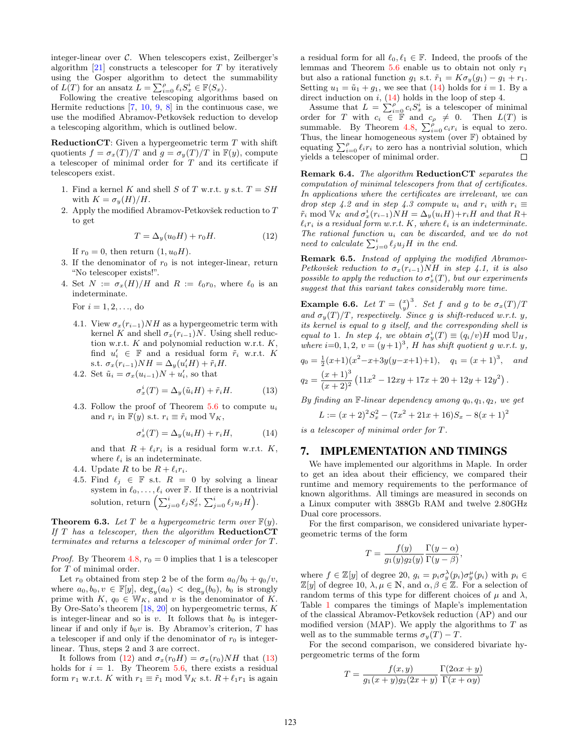integer-linear over  $\mathcal{C}$ . When telescopers exist, Zeilberger's algorithm  $[21]$  constructs a telescoper for T by iteratively using the Gosper algorithm to detect the summability of  $\widehat{L(T)}$  for an ansatz  $\widehat{L} = \sum_{i=0}^{\rho} \ell_i S_x^i \in \mathbb{F} \langle S_x \rangle$ .

Following the creative telescoping algorithms based on Hermite reductions  $[7, 10, 9, 8]$  $[7, 10, 9, 8]$  $[7, 10, 9, 8]$  $[7, 10, 9, 8]$  $[7, 10, 9, 8]$  $[7, 10, 9, 8]$  in the continuous case, we use the modified Abramov-Petkovšek reduction to develop a telescoping algorithm, which is outlined below.

ReductionCT: Given a hypergeometric term T with shift quotients  $f = \sigma_x(T)/T$  and  $g = \sigma_y(T)/T$  in  $F(y)$ , compute a telescoper of minimal order for  $T$  and its certificate if telescopers exist.

- 1. Find a kernel K and shell S of T w.r.t. y s.t.  $T = SH$ with  $K = \sigma_y(H)/H$ .
- 2. Apply the modified Abramov-Petkovšek reduction to  $T$ to get

<span id="page-6-0"></span>
$$
T = \Delta_y(u_0 H) + r_0 H. \tag{12}
$$

If  $r_0 = 0$ , then return  $(1, u_0H)$ .

- 3. If the denominator of  $r_0$  is not integer-linear, return "No telescoper exists!".
- 4. Set  $N := \sigma_x(H)/H$  and  $R := \ell_0r_0$ , where  $\ell_0$  is an indeterminate.

For  $i = 1, 2, ...,$  do

- 4.1. View  $\sigma_x(r_{i-1})NH$  as a hypergeometric term with kernel K and shell  $\sigma_x(r_{i-1})N$ . Using shell reduction w.r.t.  $K$  and polynomial reduction w.r.t.  $K$ , find  $u'_i \in \mathbb{F}$  and a residual form  $\tilde{r}_i$  w.r.t. K s.t.  $\sigma_x(r_{i-1})NH = \Delta_y(u_i'H) + \tilde{r}_iH$ .
- 4.2. Set  $\tilde{u}_i = \sigma_x(u_{i-1})N + u'_i$ , so that

<span id="page-6-1"></span>
$$
\sigma_x^i(T) = \Delta_y(\tilde{u}_i H) + \tilde{r}_i H. \tag{13}
$$

4.3. Follow the proof of Theorem  $5.6$  to compute  $u_i$ and  $r_i$  in  $\mathbb{F}(y)$  s.t.  $r_i \equiv \tilde{r}_i \mod \mathbb{V}_K$ ,

<span id="page-6-2"></span>
$$
\sigma_x^i(T) = \Delta_y(u_i H) + r_i H, \qquad (14)
$$

and that  $R + \ell_i r_i$  is a residual form w.r.t. K, where  $\ell_i$  is an indeterminate.

- 4.4. Update R to be  $R + \ell_i r_i$ .
- 4.5. Find  $\ell_j \in \mathbb{F}$  s.t.  $R = 0$  by solving a linear system in  $\ell_0, \ldots, \ell_i$  over F. If there is a nontrivial solution, return  $\left(\sum_{j=0}^i \ell_j S_x^j, \sum_{j=0}^i \ell_j u_j H\right)$ .

**Theorem 6.3.** Let T be a hypergeometric term over  $\mathbb{F}(y)$ . If  $T$  has a telescoper, then the algorithm **ReductionCT** terminates and returns a telescoper of minimal order for T.

*Proof.* By Theorem [4.8,](#page-4-5)  $r_0 = 0$  implies that 1 is a telescoper for T of minimal order.

Let  $r_0$  obtained from step 2 be of the form  $a_0/b_0 + q_0/v$ , where  $a_0, b_0, v \in \mathbb{F}[y], \deg_y(a_0) < \deg_y(b_0), b_0$  is strongly prime with  $K, q_0 \in W_K$ , and v is the denominator of K. By Ore-Sato's theorem  $[18, 20]$  $[18, 20]$  on hypergeometric terms, K is integer-linear and so is v. It follows that  $b_0$  is integerlinear if and only if  $b_0v$  is. By Abramov's criterion, T has a telescoper if and only if the denominator of  $r_0$  is integerlinear. Thus, steps 2 and 3 are correct.

It follows from [\(12\)](#page-6-0) and  $\sigma_x(r_0H) = \sigma_x(r_0)NH$  that [\(13\)](#page-6-1) holds for  $i = 1$ . By Theorem [5.6,](#page-5-5) there exists a residual form  $r_1$  w.r.t. K with  $r_1 \equiv \tilde{r}_1 \mod \mathbb{V}_K$  s.t.  $R + \ell_1 r_1$  is again a residual form for all  $\ell_0, \ell_1 \in \mathbb{F}$ . Indeed, the proofs of the lemmas and Theorem [5.6](#page-5-5) enable us to obtain not only  $r_1$ but also a rational function  $g_1$  s.t.  $\tilde{r}_1 = K \sigma_y(g_1) - g_1 + r_1$ . Setting  $u_1 = \tilde{u}_1 + g_1$ , we see that [\(14\)](#page-6-2) holds for  $i = 1$ . By a direct induction on  $i$ ,  $(14)$  holds in the loop of step 4.

Assume that  $L = \sum_{i=0}^{\rho} c_i S_x^i$  is a telescoper of minimal order for T with  $c_i \in \mathbb{F}$  and  $c_{\rho} \neq 0$ . Then  $L(T)$  is summable. By Theorem [4.8,](#page-4-5)  $\sum_{i=0}^{p} c_i r_i$  is equal to zero. Thus, the linear homogeneous system (over F) obtained by equating  $\sum_{i=0}^{\rho} \ell_i r_i$  to zero has a nontrivial solution, which yields a telescoper of minimal order.

Remark 6.4. The algorithm ReductionCT separates the computation of minimal telescopers from that of certificates. In applications where the certificates are irrelevant, we can drop step 4.2 and in step 4.3 compute  $u_i$  and  $r_i$  with  $r_i \equiv$  $\tilde{r}_i \mod \mathbb{V}_K$  and  $\sigma_x^i(r_{i-1})NH = \Delta_y(u_iH) + r_iH$  and that  $R+$  $\ell_i r_i$  is a residual form w.r.t. K, where  $\ell_i$  is an indeterminate. The rational function  $u_i$  can be discarded, and we do not need to calculate  $\sum_{j=0}^{i} \ell_j u_j H$  in the end.

Remark 6.5. Instead of applying the modified Abramov-Petkovšek reduction to  $\sigma_x(r_{i-1})NH$  in step 4.1, it is also possible to apply the reduction to  $\sigma_x^i(T)$ , but our experiments suggest that this variant takes considerably more time.

**Example 6.6.** Let  $T = \binom{x}{y}^3$ . Set f and g to be  $\sigma_x(T)/T$ and  $\sigma_y(T)/T$ , respectively. Since g is shift-reduced w.r.t. y, its kernel is equal to g itself, and the corresponding shell is equal to 1. In step 4, we obtain  $\sigma_y^i(T) \equiv (q_i/v)H \bmod \mathbb{U}_H$ , where  $i=0, 1, 2, v=(y+1)^3$ , H has shift quotient g w.r.t. y,

$$
q_0 = \frac{1}{2}(x+1)(x^2-x+3y(y-x+1)+1), \quad q_1 = (x+1)^3, \quad and
$$
  
\n
$$
q_2 = \frac{(x+1)^3}{(x+2)^2} (11x^2 - 12xy + 17x + 20 + 12y + 12y^2).
$$

By finding an  $\mathbb F$ -linear dependency among  $q_0, q_1, q_2$ , we get

$$
L := (x+2)^2 S_x^2 - (7x^2 + 21x + 16)S_x - 8(x+1)^2
$$

is a telescoper of minimal order for T.

## 7. IMPLEMENTATION AND TIMINGS

We have implemented our algorithms in Maple. In order to get an idea about their efficiency, we compared their runtime and memory requirements to the performance of known algorithms. All timings are measured in seconds on a Linux computer with 388Gb RAM and twelve 2.80GHz Dual core processors.

For the first comparison, we considered univariate hypergeometric terms of the form

$$
T = \frac{f(y)}{g_1(y)g_2(y)} \frac{\Gamma(y-\alpha)}{\Gamma(y-\beta)},
$$

where  $f \in \mathbb{Z}[y]$  of degree 20,  $g_i = p_i \sigma_y^{\lambda}(p_i) \sigma_y^{\mu}(p_i)$  with  $p_i \in$  $\mathbb{Z}[y]$  of degree 10,  $\lambda, \mu \in \mathbb{N}$ , and  $\alpha, \beta \in \mathbb{Z}$ . For a selection of random terms of this type for different choices of  $\mu$  and  $\lambda$ , Table [1](#page-7-23) compares the timings of Maple's implementation of the classical Abramov-Petkovšek reduction (AP) and our modified version (MAP). We apply the algorithms to  $T$  as well as to the summable terms  $\sigma_y(T) - T$ .

For the second comparison, we considered bivariate hypergeometric terms of the form

$$
T = \frac{f(x,y)}{g_1(x+y)g_2(2x+y)} \frac{\Gamma(2\alpha x + y)}{\Gamma(x + \alpha y)}
$$